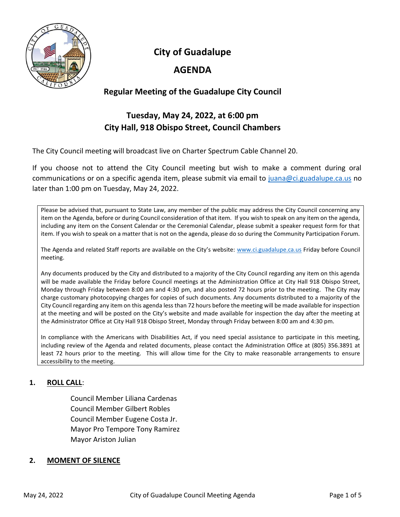

**City of Guadalupe**

# **AGENDA**

## **Regular Meeting of the Guadalupe City Council**

# **Tuesday, May 24, 2022, at 6:00 pm City Hall, 918 Obispo Street, Council Chambers**

The City Council meeting will broadcast live on Charter Spectrum Cable Channel 20.

If you choose not to attend the City Council meeting but wish to make a comment during oral communications or on a specific agenda item, please submit via email to [juana@ci.guadalupe.ca.us](mailto:juana@ci.guadalupe.ca.us) no later than 1:00 pm on Tuesday, May 24, 2022.

Please be advised that, pursuant to State Law, any member of the public may address the City Council concerning any item on the Agenda, before or during Council consideration of that item. If you wish to speak on any item on the agenda, including any item on the Consent Calendar or the Ceremonial Calendar, please submit a speaker request form for that item. If you wish to speak on a matter that is not on the agenda, please do so during the Community Participation Forum.

The Agenda and related Staff reports are available on the City's website: [www.ci.guadalupe.ca.us](http://www.ci.guadalupe.ca.us/) Friday before Council meeting.

Any documents produced by the City and distributed to a majority of the City Council regarding any item on this agenda will be made available the Friday before Council meetings at the Administration Office at City Hall 918 Obispo Street, Monday through Friday between 8:00 am and 4:30 pm, and also posted 72 hours prior to the meeting. The City may charge customary photocopying charges for copies of such documents. Any documents distributed to a majority of the City Council regarding any item on this agenda less than 72 hours before the meeting will be made available for inspection at the meeting and will be posted on the City's website and made available for inspection the day after the meeting at the Administrator Office at City Hall 918 Obispo Street, Monday through Friday between 8:00 am and 4:30 pm.

In compliance with the Americans with Disabilities Act, if you need special assistance to participate in this meeting, including review of the Agenda and related documents, please contact the Administration Office at (805) 356.3891 at least 72 hours prior to the meeting. This will allow time for the City to make reasonable arrangements to ensure accessibility to the meeting.

## **1. ROLL CALL**:

Council Member Liliana Cardenas Council Member Gilbert Robles Council Member Eugene Costa Jr. Mayor Pro Tempore Tony Ramirez Mayor Ariston Julian

## **2. MOMENT OF SILENCE**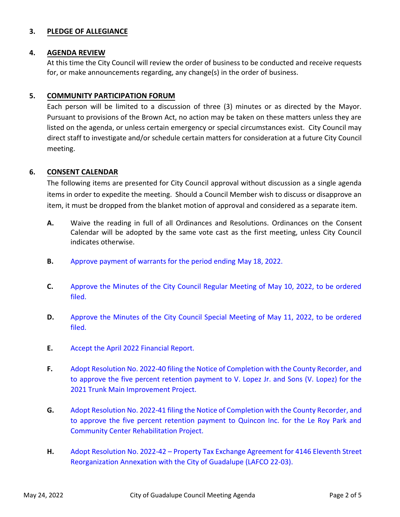## **3. PLEDGE OF ALLEGIANCE**

#### **4. AGENDA REVIEW**

At this time the City Council will review the order of business to be conducted and receive requests for, or make announcements regarding, any change(s) in the order of business.

## **5. COMMUNITY PARTICIPATION FORUM**

Each person will be limited to a discussion of three (3) minutes or as directed by the Mayor. Pursuant to provisions of the Brown Act, no action may be taken on these matters unless they are listed on the agenda, or unless certain emergency or special circumstances exist. City Council may direct staff to investigate and/or schedule certain matters for consideration at a future City Council meeting.

## **6. CONSENT CALENDAR**

The following items are presented for City Council approval without discussion as a single agenda items in order to expedite the meeting. Should a Council Member wish to discuss or disapprove an item, it must be dropped from the blanket motion of approval and considered as a separate item.

- **A.** Waive the reading in full of all Ordinances and Resolutions. Ordinances on the Consent Calendar will be adopted by the same vote cast as the first meeting, unless City Council indicates otherwise.
- **B.** [Approve payment of warrants for the period ending May 18, 2022.](https://ci.guadalupe.ca.us/wp-content/uploads/2022/05/6B-Warrants.pdf)
- **C.** [Approve the Minutes of the City Council Regular Meeting of May 10, 2022, to be ordered](https://ci.guadalupe.ca.us/wp-content/uploads/2022/05/6C-CC-Minutes-5-10-2022.pdf) filed.
- **D.** [Approve the Minutes of the City Council Special Meeting of May 11, 2022, to be ordered](https://ci.guadalupe.ca.us/wp-content/uploads/2022/05/6D-Special-CC-Minutes-05-11-2022.pdf) filed.
- **E.** [Accept the April 2022 Financial Report.](https://ci.guadalupe.ca.us/wp-content/uploads/2022/05/6E-April-2022-Financial-Report.pdf)
- **F.** Adopt Resolution No. 2022-40 filing the Notice of Completion with the County Recorder, and [to approve the five percent retention payment to V. Lopez Jr. and Sons \(V. Lopez\) for the](https://ci.guadalupe.ca.us/wp-content/uploads/2022/05/6F-Notice-of-Completion-2021-Trunk-Main-Improvement-Project.pdf) 2021 Trunk Main Improvement Project.
- **G.** Adopt Resolution No. 2022-41 filing the Notice of Completion with the County Recorder, and [to approve the five percent retention payment to Quincon Inc. for the Le Roy Park and](https://ci.guadalupe.ca.us/wp-content/uploads/2022/05/6G-Notice-of-Completion-Le-Roy-Park-Rehabilitation-Project.pdf) Community Center Rehabilitation Project.
- **H.** Adopt Resolution No. 2022-42 Property Tax Exchange Agreement for 4146 Eleventh Street [Reorganization Annexation with the City of Guadalupe \(LAFCO 22-03\).](https://ci.guadalupe.ca.us/wp-content/uploads/2022/05/6H-Property-Tax-Exchange-Agreement-for-4146-11th-St.-Reorganization-Annexation-with-City-LAFCO-22-03.pdf)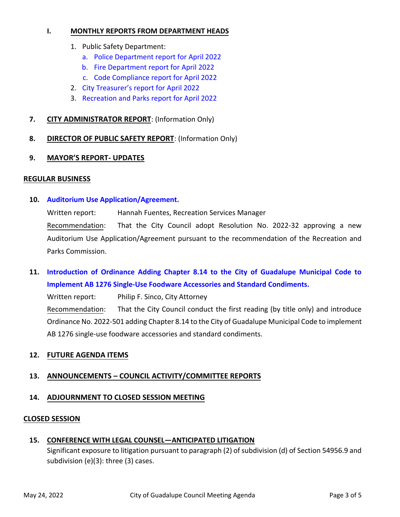#### **I. MONTHLY REPORTS FROM DEPARTMENT HEADS**

- 1. Public Safety Department:
	- a. [Police Department report for April 2022](https://ci.guadalupe.ca.us/wp-content/uploads/2022/05/6I-1a.-Police-Department-report-April-2022.pdf)
	- b. [Fire Department report for April 2022](https://ci.guadalupe.ca.us/wp-content/uploads/2022/05/6I-1b.-Fire-Department-report-April-2022.pdf)
	- c. [Code Compliance report for April 2022](https://ci.guadalupe.ca.us/wp-content/uploads/2022/05/6I-1c.-Code-Compliance-Report-April-2022.pdf)
- 2. City [Treasurer's report for April 2022](https://ci.guadalupe.ca.us/wp-content/uploads/2022/05/6I-2.-City-Treasurers-report-April-2022.pdf)
- 3. [Recreation and Parks report for April 2022](https://ci.guadalupe.ca.us/wp-content/uploads/2022/05/6I-3.-Rec-and-Parks-report-April-2022.pdf)
- **7. CITY ADMINISTRATOR REPORT**: (Information Only)
- **8. DIRECTOR OF PUBLIC SAFETY REPORT**: (Information Only)
- **9. MAYOR'S REPORT- UPDATES**

#### **REGULAR BUSINESS**

**10. [Auditorium Use Application/Agreement.](https://ci.guadalupe.ca.us/wp-content/uploads/2022/05/10.-Auditorium-Use-Application-Agreement.pdf)**

Written report: Hannah Fuentes, Recreation Services Manager Recommendation: That the City Council adopt Resolution No. 2022-32 approving a new Auditorium Use Application/Agreement pursuant to the recommendation of the Recreation and Parks Commission.

**11. [Introduction of Ordinance Adding Chapter 8.14 to the City of Guadalupe Municipal Code to](https://ci.guadalupe.ca.us/wp-content/uploads/2022/05/11-AB-1276.pdf) Implement AB 1276 Single-Use Foodware Accessories and Standard Condiments.**

Written report: Philip F. Sinco, City Attorney

Recommendation: That the City Council conduct the first reading (by title only) and introduce Ordinance No. 2022-501 adding Chapter 8.14 to the City of Guadalupe Municipal Code to implement AB 1276 single-use foodware accessories and standard condiments.

## **12. FUTURE AGENDA ITEMS**

## **13. ANNOUNCEMENTS – COUNCIL ACTIVITY/COMMITTEE REPORTS**

#### **14. ADJOURNMENT TO CLOSED SESSION MEETING**

#### **CLOSED SESSION**

#### **15. CONFERENCE WITH LEGAL COUNSEL—ANTICIPATED LITIGATION**

Significant exposure to litigation pursuant to paragraph (2) of subdivision (d) of Section 54956.9 and subdivision (e)(3): three (3) cases.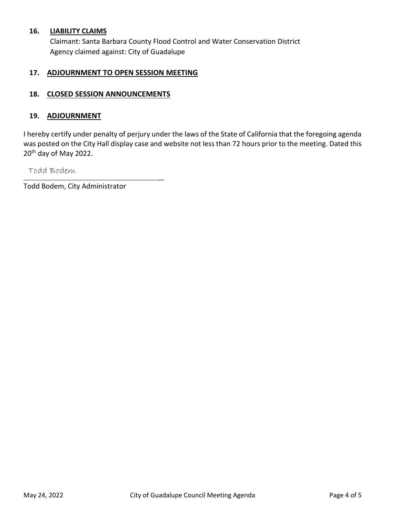#### **16. LIABILITY CLAIMS**

Claimant: Santa Barbara County Flood Control and Water Conservation District Agency claimed against: City of Guadalupe

#### **17. ADJOURNMENT TO OPEN SESSION MEETING**

## **18. CLOSED SESSION ANNOUNCEMENTS**

#### **19. ADJOURNMENT**

I hereby certify under penalty of perjury under the laws of the State of California that the foregoing agenda was posted on the City Hall display case and website not less than 72 hours prior to the meeting. Dated this 20th day of May 2022.

\_\_\_\_\_\_\_\_\_\_\_\_\_\_\_\_\_\_\_\_\_\_\_\_\_\_\_\_\_\_\_\_\_\_\_\_ Todd Bodem

Todd Bodem, City Administrator